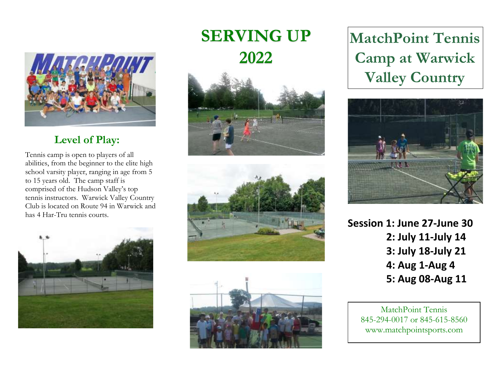

### **Level of Play:**

Tennis camp is open to players of all abilities, from the beginner to the elite high school varsity player, ranging in age from 5 to 15 years old. The camp staff is comprised of the Hudson Valley's top tennis instructors. Warwick Valley Country Club is located on Route 94 in Warwick and has 4 Har-Tru tennis courts.



# **SERVING UP 2022**







**MatchPoint Tennis Camp at Warwick Valley Country**



**Session 1: June 27-June 30 2: July 11-July 14 3: July 18-July 21 4: Aug 1-Aug 4 5: Aug 08-Aug 11**

MatchPoint Tennis 845-294-0017 or 845-615-8560 www.matchpointsports.com